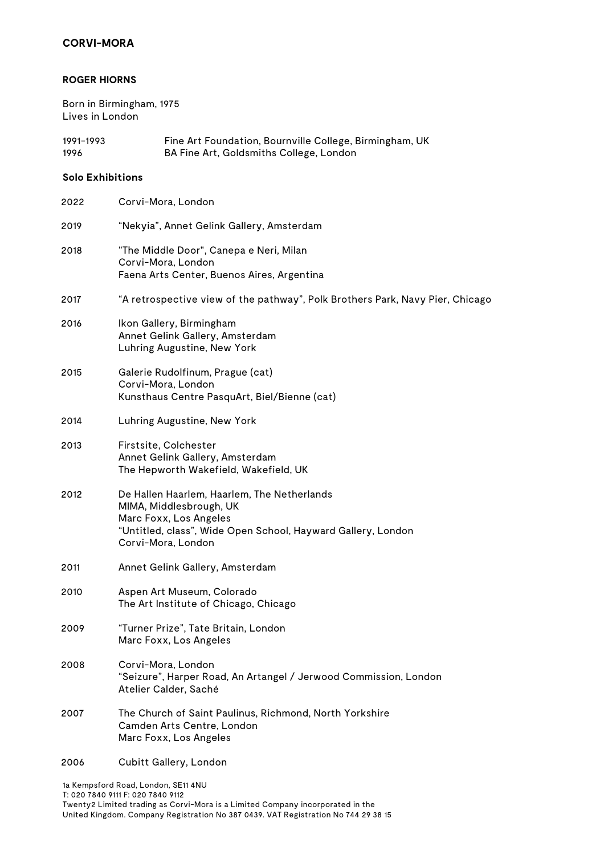### **ROGER HIORNS**

Born in Birmingham, 1975 Lives in London

| 1991–1993 | Fine Art Foundation, Bournville College, Birmingham, UK |
|-----------|---------------------------------------------------------|
| 1996      | BA Fine Art, Goldsmiths College, London                 |

### **Solo Exhibitions**

| Corvi-Mora, London                                                                                                                                                                     |
|----------------------------------------------------------------------------------------------------------------------------------------------------------------------------------------|
| "Nekyia", Annet Gelink Gallery, Amsterdam                                                                                                                                              |
| "The Middle Door", Canepa e Neri, Milan<br>Corvi-Mora, London<br>Faena Arts Center, Buenos Aires, Argentina                                                                            |
| "A retrospective view of the pathway", Polk Brothers Park, Navy Pier, Chicago                                                                                                          |
| Ikon Gallery, Birmingham<br>Annet Gelink Gallery, Amsterdam<br>Luhring Augustine, New York                                                                                             |
| Galerie Rudolfinum, Prague (cat)<br>Corvi-Mora, London<br>Kunsthaus Centre PasquArt, Biel/Bienne (cat)                                                                                 |
| Luhring Augustine, New York                                                                                                                                                            |
| Firstsite, Colchester<br>Annet Gelink Gallery, Amsterdam<br>The Hepworth Wakefield, Wakefield, UK                                                                                      |
| De Hallen Haarlem, Haarlem, The Netherlands<br>MIMA, Middlesbrough, UK<br>Marc Foxx, Los Angeles<br>"Untitled, class", Wide Open School, Hayward Gallery, London<br>Corvi-Mora, London |
| Annet Gelink Gallery, Amsterdam                                                                                                                                                        |
| Aspen Art Museum, Colorado<br>The Art Institute of Chicago, Chicago                                                                                                                    |
| "Turner Prize", Tate Britain, London<br>Marc Foxx, Los Angeles                                                                                                                         |
| Corvi-Mora, London<br>"Seizure", Harper Road, An Artangel / Jerwood Commission, London<br>Atelier Calder, Saché                                                                        |
| The Church of Saint Paulinus, Richmond, North Yorkshire<br>Camden Arts Centre, London<br>Marc Foxx, Los Angeles                                                                        |
| Cubitt Gallery, London                                                                                                                                                                 |
|                                                                                                                                                                                        |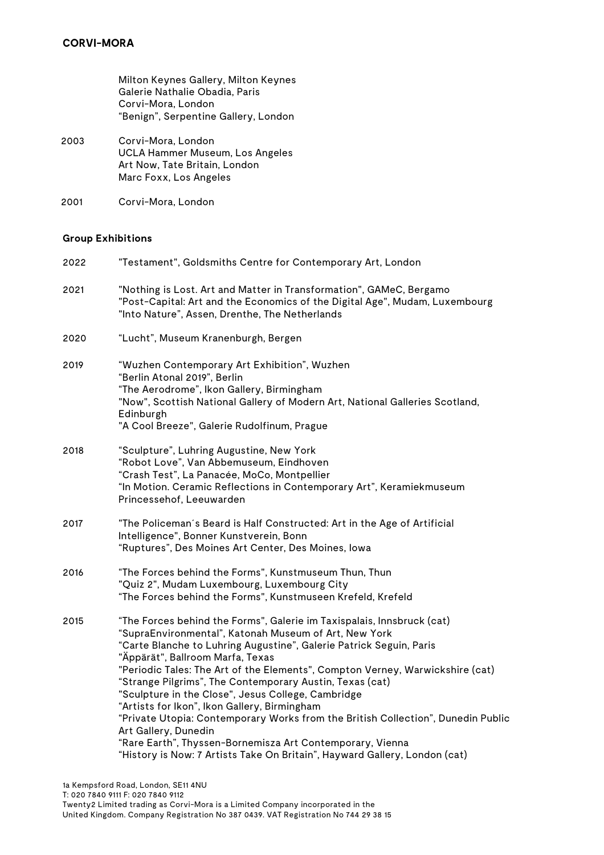Milton Keynes Gallery, Milton Keynes Galerie Nathalie Obadia, Paris Corvi-Mora, London "Benign", Serpentine Gallery, London

- 2003 Corvi-Mora, London UCLA Hammer Museum, Los Angeles Art Now, Tate Britain, London Marc Foxx, Los Angeles
- 2001 Corvi-Mora, London

### **Group Exhibitions**

| 2022 | "Testament", Goldsmiths Centre for Contemporary Art, London                                                                                                                                                                                                                                                                                                                                                                                                                                                                                                                                                                                                                                                                                          |
|------|------------------------------------------------------------------------------------------------------------------------------------------------------------------------------------------------------------------------------------------------------------------------------------------------------------------------------------------------------------------------------------------------------------------------------------------------------------------------------------------------------------------------------------------------------------------------------------------------------------------------------------------------------------------------------------------------------------------------------------------------------|
| 2021 | "Nothing is Lost. Art and Matter in Transformation", GAMeC, Bergamo<br>"Post-Capital: Art and the Economics of the Digital Age", Mudam, Luxembourg<br>"Into Nature", Assen, Drenthe, The Netherlands                                                                                                                                                                                                                                                                                                                                                                                                                                                                                                                                                 |
| 2020 | "Lucht", Museum Kranenburgh, Bergen                                                                                                                                                                                                                                                                                                                                                                                                                                                                                                                                                                                                                                                                                                                  |
| 2019 | "Wuzhen Contemporary Art Exhibition", Wuzhen<br>"Berlin Atonal 2019", Berlin<br>"The Aerodrome", Ikon Gallery, Birmingham<br>"Now", Scottish National Gallery of Modern Art, National Galleries Scotland,<br>Edinburgh<br>"A Cool Breeze", Galerie Rudolfinum, Prague                                                                                                                                                                                                                                                                                                                                                                                                                                                                                |
| 2018 | "Sculpture", Luhring Augustine, New York<br>"Robot Love", Van Abbemuseum, Eindhoven<br>"Crash Test", La Panacée, MoCo, Montpellier<br>"In Motion. Ceramic Reflections in Contemporary Art", Keramiekmuseum<br>Princessehof, Leeuwarden                                                                                                                                                                                                                                                                                                                                                                                                                                                                                                               |
| 2017 | "The Policeman's Beard is Half Constructed: Art in the Age of Artificial<br>Intelligence", Bonner Kunstverein, Bonn<br>"Ruptures", Des Moines Art Center, Des Moines, Iowa                                                                                                                                                                                                                                                                                                                                                                                                                                                                                                                                                                           |
| 2016 | "The Forces behind the Forms", Kunstmuseum Thun, Thun<br>"Quiz 2", Mudam Luxembourg, Luxembourg City<br>"The Forces behind the Forms", Kunstmuseen Krefeld, Krefeld                                                                                                                                                                                                                                                                                                                                                                                                                                                                                                                                                                                  |
| 2015 | "The Forces behind the Forms", Galerie im Taxispalais, Innsbruck (cat)<br>"SupraEnvironmental", Katonah Museum of Art, New York<br>"Carte Blanche to Luhring Augustine", Galerie Patrick Seguin, Paris<br>"Äppärät", Ballroom Marfa, Texas<br>"Periodic Tales: The Art of the Elements", Compton Verney, Warwickshire (cat)<br>"Strange Pilgrims", The Contemporary Austin, Texas (cat)<br>"Sculpture in the Close", Jesus College, Cambridge<br>"Artists for Ikon", Ikon Gallery, Birmingham<br>"Private Utopia: Contemporary Works from the British Collection", Dunedin Public<br>Art Gallery, Dunedin<br>"Rare Earth", Thyssen-Bornemisza Art Contemporary, Vienna<br>"History is Now: 7 Artists Take On Britain", Hayward Gallery, London (cat) |
|      |                                                                                                                                                                                                                                                                                                                                                                                                                                                                                                                                                                                                                                                                                                                                                      |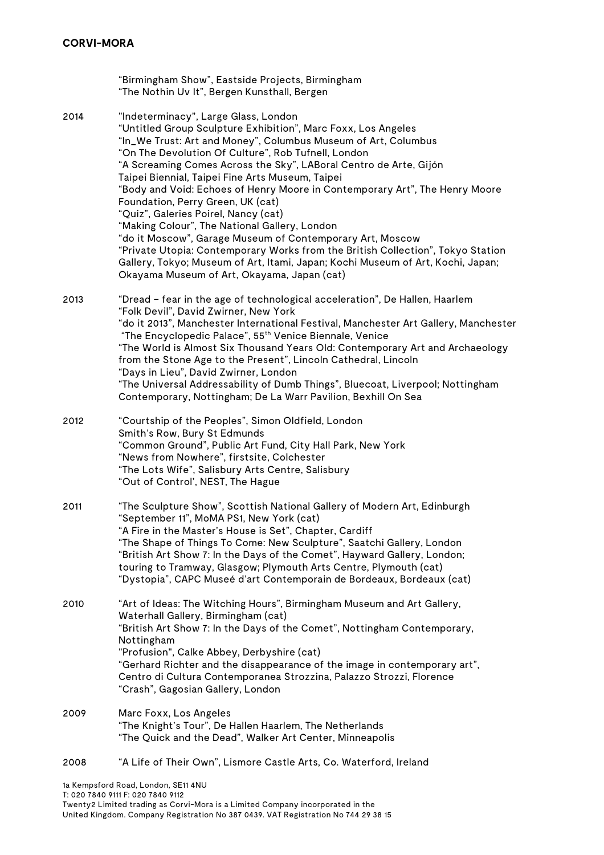"Birmingham Show", Eastside Projects, Birmingham "The Nothin Uv It", Bergen Kunsthall, Bergen 2014 "Indeterminacy", Large Glass, London "Untitled Group Sculpture Exhibition", Marc Foxx, Los Angeles "In\_We Trust: Art and Money", Columbus Museum of Art, Columbus "On The Devolution Of Culture", Rob Tufnell, London "A Screaming Comes Across the Sky", LABoral Centro de Arte, Gijón Taipei Biennial, Taipei Fine Arts Museum, Taipei "Body and Void: Echoes of Henry Moore in Contemporary Art", The Henry Moore Foundation, Perry Green, UK (cat) "Quiz", Galeries Poirel, Nancy (cat) "Making Colour", The National Gallery, London "do it Moscow", Garage Museum of Contemporary Art, Moscow "Private Utopia: Contemporary Works from the British Collection", Tokyo Station Gallery, Tokyo; Museum of Art, Itami, Japan; Kochi Museum of Art, Kochi, Japan; Okayama Museum of Art, Okayama, Japan (cat) 2013 "Dread – fear in the age of technological acceleration", De Hallen, Haarlem "Folk Devil", David Zwirner, New York "do it 2013", Manchester International Festival, Manchester Art Gallery, Manchester "The Encyclopedic Palace", 55th Venice Biennale, Venice "The World is Almost Six Thousand Years Old: Contemporary Art and Archaeology from the Stone Age to the Present", Lincoln Cathedral, Lincoln "Days in Lieu", David Zwirner, London "The Universal Addressability of Dumb Things", Bluecoat, Liverpool; Nottingham Contemporary, Nottingham; De La Warr Pavilion, Bexhill On Sea 2012 "Courtship of the Peoples", Simon Oldfield, London Smith's Row, Bury St Edmunds "Common Ground", Public Art Fund, City Hall Park, New York "News from Nowhere", firstsite, Colchester "The Lots Wife", Salisbury Arts Centre, Salisbury "Out of Control', NEST, The Hague 2011 "The Sculpture Show", Scottish National Gallery of Modern Art, Edinburgh "September 11", MoMA PS1, New York (cat) "A Fire in the Master's House is Set", Chapter, Cardiff "The Shape of Things To Come: New Sculpture", Saatchi Gallery, London "British Art Show 7: In the Days of the Comet", Hayward Gallery, London; touring to Tramway, Glasgow; Plymouth Arts Centre, Plymouth (cat) "Dystopia", CAPC Museé d'art Contemporain de Bordeaux, Bordeaux (cat) 2010 "Art of Ideas: The Witching Hours", Birmingham Museum and Art Gallery, Waterhall Gallery, Birmingham (cat) "British Art Show 7: In the Days of the Comet", Nottingham Contemporary, Nottingham "Profusion", Calke Abbey, Derbyshire (cat) "Gerhard Richter and the disappearance of the image in contemporary art", Centro di Cultura Contemporanea Strozzina, Palazzo Strozzi, Florence "Crash", Gagosian Gallery, London 2009 Marc Foxx, Los Angeles "The Knight's Tour", De Hallen Haarlem, The Netherlands "The Quick and the Dead", Walker Art Center, Minneapolis 2008 "A Life of Their Own", Lismore Castle Arts, Co. Waterford, Ireland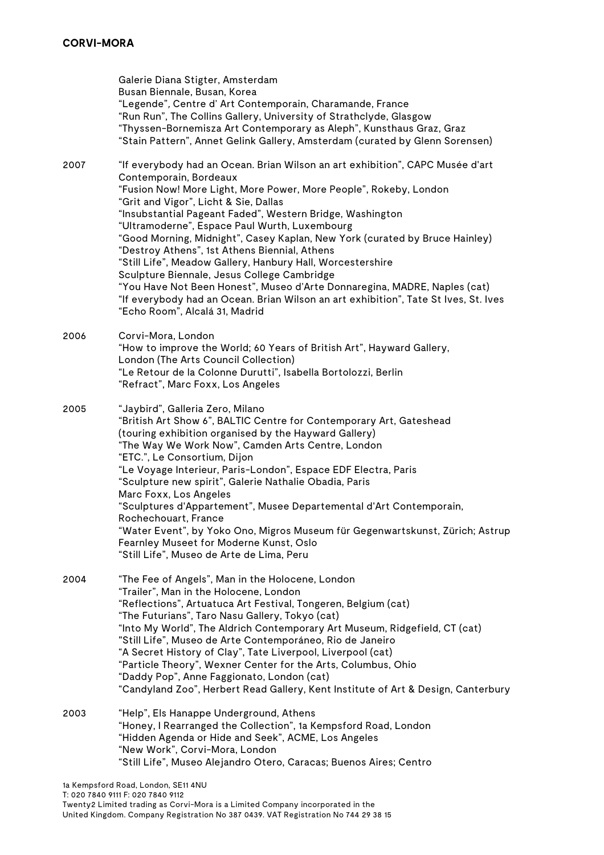Galerie Diana Stigter, Amsterdam Busan Biennale, Busan, Korea "Legende", Centre d' Art Contemporain, Charamande, France "Run Run", The Collins Gallery, University of Strathclyde, Glasgow "Thyssen-Bornemisza Art Contemporary as Aleph", Kunsthaus Graz, Graz "Stain Pattern", Annet Gelink Gallery, Amsterdam (curated by Glenn Sorensen) 2007 "If everybody had an Ocean. Brian Wilson an art exhibition", CAPC Musée d'art Contemporain, Bordeaux "Fusion Now! More Light, More Power, More People", Rokeby, London "Grit and Vigor", Licht & Sie, Dallas "Insubstantial Pageant Faded", Western Bridge, Washington "Ultramoderne", Espace Paul Wurth, Luxembourg "Good Morning, Midnight", Casey Kaplan, New York (curated by Bruce Hainley) "Destroy Athens", 1st Athens Biennial, Athens "Still Life", Meadow Gallery, Hanbury Hall, Worcestershire Sculpture Biennale, Jesus College Cambridge "You Have Not Been Honest", Museo d'Arte Donnaregina, MADRE, Naples (cat) "If everybody had an Ocean. Brian Wilson an art exhibition", Tate St Ives, St. Ives "Echo Room", Alcalá 31, Madrid 2006 Corvi-Mora, London "How to improve the World; 60 Years of British Art", Hayward Gallery, London (The Arts Council Collection) "Le Retour de la Colonne Durutti", Isabella Bortolozzi, Berlin "Refract", Marc Foxx, Los Angeles 2005 "Jaybird", Galleria Zero, Milano "British Art Show 6", BALTIC Centre for Contemporary Art, Gateshead (touring exhibition organised by the Hayward Gallery) "The Way We Work Now", Camden Arts Centre, London "ETC.", Le Consortium, Dijon "Le Voyage Interieur, Paris-London", Espace EDF Electra, Paris "Sculpture new spirit", Galerie Nathalie Obadia, Paris Marc Foxx, Los Angeles "Sculptures d'Appartement", Musee Departemental d'Art Contemporain, Rochechouart, France "Water Event", by Yoko Ono, Migros Museum für Gegenwartskunst, Zürich; Astrup Fearnley Museet for Moderne Kunst, Oslo "Still Life", Museo de Arte de Lima, Peru 2004 "The Fee of Angels", Man in the Holocene, London "Trailer", Man in the Holocene, London "Reflections", Artuatuca Art Festival, Tongeren, Belgium (cat) "The Futurians", Taro Nasu Gallery, Tokyo (cat) "Into My World", The Aldrich Contemporary Art Museum, Ridgefield, CT (cat) "Still Life", Museo de Arte Contemporáneo, Rio de Janeiro "A Secret History of Clay", Tate Liverpool, Liverpool (cat) "Particle Theory", Wexner Center for the Arts, Columbus, Ohio "Daddy Pop", Anne Faggionato, London (cat) "Candyland Zoo", Herbert Read Gallery, Kent Institute of Art & Design, Canterbury 2003 "Help", Els Hanappe Underground, Athens "Honey, I Rearranged the Collection", 1a Kempsford Road, London "Hidden Agenda or Hide and Seek", ACME, Los Angeles "New Work", Corvi-Mora, London "Still Life", Museo Alejandro Otero, Caracas; Buenos Aires; Centro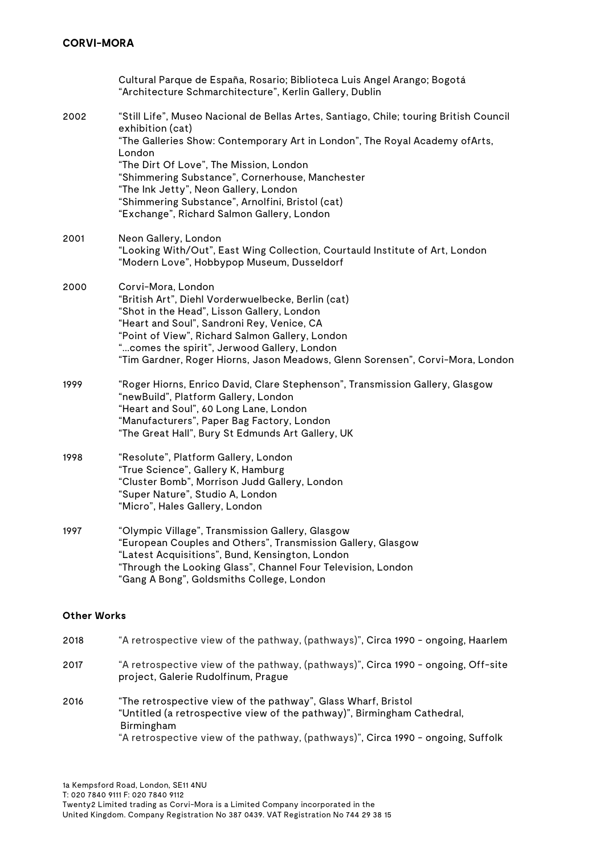|      | Cultural Parque de España, Rosario; Biblioteca Luis Angel Arango; Bogotá<br>"Architecture Schmarchitecture", Kerlin Gallery, Dublin                                                                                                                                                                                                                                                                                                           |
|------|-----------------------------------------------------------------------------------------------------------------------------------------------------------------------------------------------------------------------------------------------------------------------------------------------------------------------------------------------------------------------------------------------------------------------------------------------|
| 2002 | "Still Life", Museo Nacional de Bellas Artes, Santiago, Chile; touring British Council<br>exhibition (cat)<br>"The Galleries Show: Contemporary Art in London", The Royal Academy of Arts,<br>London<br>"The Dirt Of Love", The Mission, London<br>"Shimmering Substance", Cornerhouse, Manchester<br>"The Ink Jetty", Neon Gallery, London<br>"Shimmering Substance", Arnolfini, Bristol (cat)<br>"Exchange", Richard Salmon Gallery, London |
| 2001 | Neon Gallery, London<br>"Looking With/Out", East Wing Collection, Courtauld Institute of Art, London<br>"Modern Love", Hobbypop Museum, Dusseldorf                                                                                                                                                                                                                                                                                            |
| 2000 | Corvi-Mora, London<br>"British Art", Diehl Vorderwuelbecke, Berlin (cat)<br>"Shot in the Head", Lisson Gallery, London<br>"Heart and Soul", Sandroni Rey, Venice, CA<br>"Point of View", Richard Salmon Gallery, London<br>"comes the spirit", Jerwood Gallery, London<br>"Tim Gardner, Roger Hiorns, Jason Meadows, Glenn Sorensen", Corvi-Mora, London                                                                                      |
| 1999 | "Roger Hiorns, Enrico David, Clare Stephenson", Transmission Gallery, Glasgow<br>"newBuild", Platform Gallery, London<br>"Heart and Soul", 60 Long Lane, London<br>"Manufacturers", Paper Bag Factory, London<br>"The Great Hall", Bury St Edmunds Art Gallery, UK                                                                                                                                                                            |
| 1998 | "Resolute", Platform Gallery, London<br>"True Science", Gallery K, Hamburg<br>"Cluster Bomb", Morrison Judd Gallery, London<br>"Super Nature", Studio A, London<br>"Micro", Hales Gallery, London                                                                                                                                                                                                                                             |
| 1997 | "Olympic Village", Transmission Gallery, Glasgow<br>"European Couples and Others", Transmission Gallery, Glasgow<br>"Latest Acquisitions", Bund, Kensington, London<br>"Through the Looking Glass", Channel Four Television, London<br>"Gang A Bong", Goldsmiths College, London                                                                                                                                                              |

### **Other Works**

| 2018 | "A retrospective view of the pathway, (pathways)", Circa 1990 - ongoing, Haarlem                                                                                                                                                           |
|------|--------------------------------------------------------------------------------------------------------------------------------------------------------------------------------------------------------------------------------------------|
| 2017 | "A retrospective view of the pathway, (pathways)", Circa 1990 - ongoing, Off-site<br>project, Galerie Rudolfinum, Prague                                                                                                                   |
| 2016 | "The retrospective view of the pathway", Glass Wharf, Bristol<br>"Untitled (a retrospective view of the pathway)", Birmingham Cathedral,<br>Birmingham<br>"A retrospective view of the pathway, (pathways)", Circa 1990 - ongoing, Suffolk |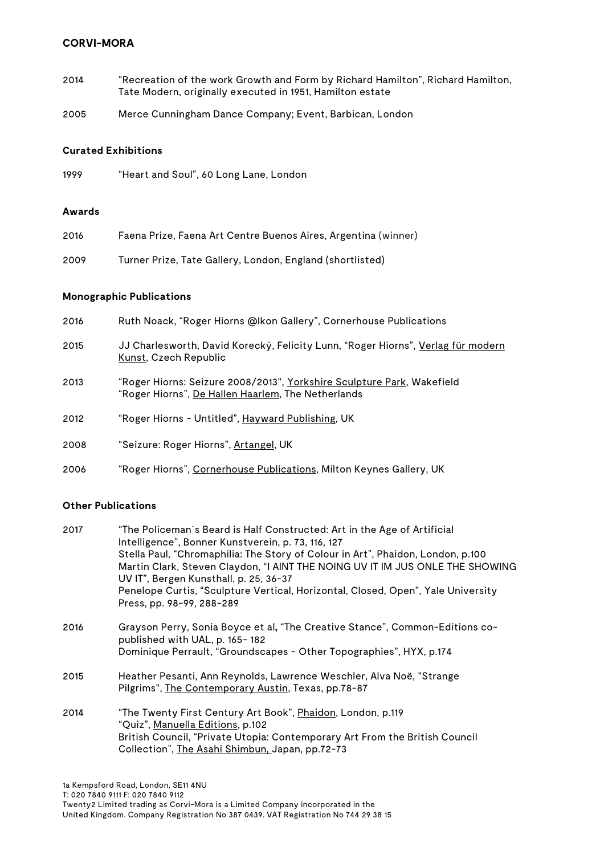- 2014 "Recreation of the work Growth and Form by Richard Hamilton", Richard Hamilton, Tate Modern, originally executed in 1951, Hamilton estate
- 2005 Merce Cunningham Dance Company; Event, Barbican, London

# **Curated Exhibitions**

| 1999 | "Heart and Soul", 60 Long Lane, London |  |  |
|------|----------------------------------------|--|--|

#### **Awards**

| 2016 | Faena Prize, Faena Art Centre Buenos Aires, Argentina (winner) |
|------|----------------------------------------------------------------|
| 2009 | Turner Prize, Tate Gallery, London, England (shortlisted)      |

#### **Monographic Publications**

| 2016 | Ruth Noack, "Roger Hiorns @lkon Gallery", Cornerhouse Publications                                                           |
|------|------------------------------------------------------------------------------------------------------------------------------|
| 2015 | JJ Charlesworth, David Korecký, Felicity Lunn, "Roger Hiorns", Verlag für modern<br><u>Kunst</u> , Czech Republic            |
| 2013 | "Roger Hiorns: Seizure 2008/2013", Yorkshire Sculpture Park, Wakefield<br>"Roger Hiorns", De Hallen Haarlem, The Netherlands |
| 2012 | "Roger Hiorns - Untitled", Hayward Publishing, UK                                                                            |
| 2008 | "Seizure: Roger Hiorns", Artangel, UK                                                                                        |
| 2006 | "Roger Hiorns", Cornerhouse Publications, Milton Keynes Gallery, UK                                                          |

## **Other Publications**

| 2017 | "The Policeman´s Beard is Half Constructed: Art in the Age of Artificial<br>Intelligence", Bonner Kunstverein, p. 73, 116, 127<br>Stella Paul, "Chromaphilia: The Story of Colour in Art", Phaidon, London, p.100<br>Martin Clark, Steven Claydon, "I AINT THE NOING UV IT IM JUS ONLE THE SHOWING<br>UV IT", Bergen Kunsthall, p. 25, 36-37<br>Penelope Curtis, "Sculpture Vertical, Horizontal, Closed, Open", Yale University<br>Press, pp. 98-99, 288-289 |
|------|---------------------------------------------------------------------------------------------------------------------------------------------------------------------------------------------------------------------------------------------------------------------------------------------------------------------------------------------------------------------------------------------------------------------------------------------------------------|
| 2016 | Grayson Perry, Sonia Boyce et al, "The Creative Stance", Common-Editions co-<br>published with UAL, p. 165-182<br>Dominique Perrault, "Groundscapes - Other Topographies", HYX, p.174                                                                                                                                                                                                                                                                         |
|      |                                                                                                                                                                                                                                                                                                                                                                                                                                                               |
| 2015 | Heather Pesanti, Ann Reynolds, Lawrence Weschler, Alva Noë, "Strange<br>Pilgrims", The Contemporary Austin, Texas, pp.78-87                                                                                                                                                                                                                                                                                                                                   |
| 2014 | "The Twenty First Century Art Book", Phaidon, London, p.119<br>"Quiz", Manuella Editions, p.102<br>British Council, "Private Utopia: Contemporary Art From the British Council<br>Collection", The Asahi Shimbun, Japan, pp.72-73                                                                                                                                                                                                                             |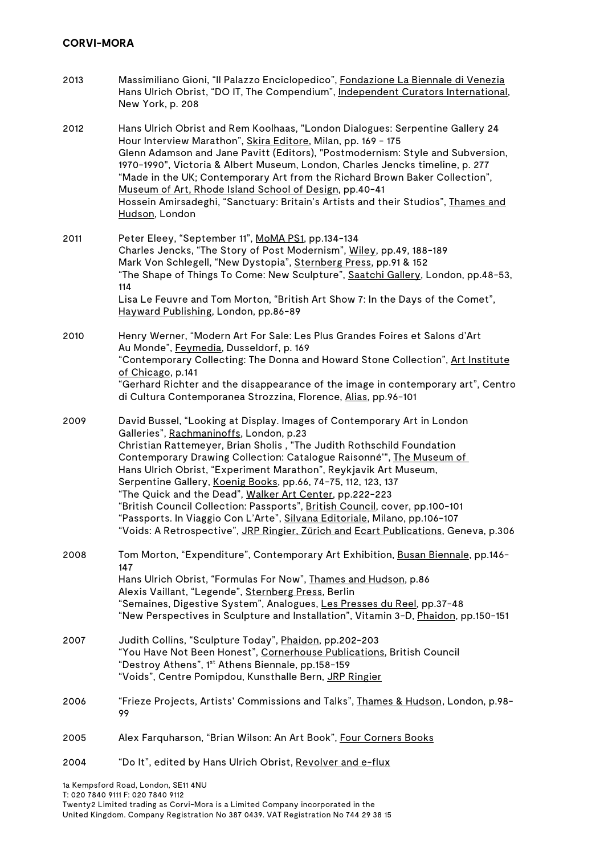- 2013 Massimiliano Gioni, "Il Palazzo Enciclopedico", Fondazione La Biennale di Venezia Hans Ulrich Obrist, "DO IT, The Compendium", Independent Curators International, New York, p. 208
- 2012 Hans Ulrich Obrist and Rem Koolhaas, "London Dialogues: Serpentine Gallery 24 Hour Interview Marathon", Skira Editore, Milan, pp. 169 - 175 Glenn Adamson and Jane Pavitt (Editors), "Postmodernism: Style and Subversion, 1970-1990", Victoria & Albert Museum, London, Charles Jencks timeline, p. 277 "Made in the UK; Contemporary Art from the Richard Brown Baker Collection", Museum of Art, Rhode Island School of Design, pp.40-41 Hossein Amirsadeghi, "Sanctuary: Britain's Artists and their Studios", Thames and Hudson, London
- 2011 Peter Eleey, "September 11", MoMA PS1, pp.134-134 Charles Jencks, "The Story of Post Modernism", Wiley, pp.49, 188-189 Mark Von Schlegell, "New Dystopia", Sternberg Press, pp.91 & 152 "The Shape of Things To Come: New Sculpture", Saatchi Gallery, London, pp.48-53, 114 Lisa Le Feuvre and Tom Morton, "British Art Show 7: In the Days of the Comet", Hayward Publishing, London, pp.86-89
- 2010 Henry Werner, "Modern Art For Sale: Les Plus Grandes Foires et Salons d'Art Au Monde", Feymedia, Dusseldorf, p. 169 "Contemporary Collecting: The Donna and Howard Stone Collection", Art Institute of Chicago, p.141 "Gerhard Richter and the disappearance of the image in contemporary art", Centro di Cultura Contemporanea Strozzina, Florence, Alias, pp.96-101
- 2009 David Bussel, "Looking at Display. Images of Contemporary Art in London Galleries", Rachmaninoffs, London, p.23 Christian Rattemeyer, Brian Sholis , "The Judith Rothschild Foundation Contemporary Drawing Collection: Catalogue Raisonné'", The Museum of Hans Ulrich Obrist, "Experiment Marathon", Reykjavik Art Museum, Serpentine Gallery, Koenig Books, pp.66, 74-75, 112, 123, 137 "The Quick and the Dead", Walker Art Center, pp.222-223 "British Council Collection: Passports", British Council, cover, pp.100-101 "Passports. In Viaggio Con L'Arte", Silvana Editoriale, Milano, pp.106-107 "Voids: A Retrospective", JRP Ringier, Zürich and Ecart Publications, Geneva, p.306
- 2008 Tom Morton, "Expenditure", Contemporary Art Exhibition, Busan Biennale, pp.146- 147 Hans Ulrich Obrist, "Formulas For Now", Thames and Hudson, p.86 Alexis Vaillant, "Legende", Sternberg Press, Berlin "Semaines, Digestive System", Analogues, Les Presses du Reel, pp.37-48 "New Perspectives in Sculpture and Installation", Vitamin 3-D, Phaidon, pp.150-151
- 2007 Judith Collins, "Sculpture Today", Phaidon, pp.202-203 "You Have Not Been Honest", Cornerhouse Publications, British Council "Destroy Athens", 1st Athens Biennale, pp.158-159 "Voids", Centre Pomipdou, Kunsthalle Bern, JRP Ringier
- 2006 "Frieze Projects, Artists' Commissions and Talks", Thames & Hudson, London, p.98- 99
- 2005 Alex Farquharson, "Brian Wilson: An Art Book", Four Corners Books
- 2004 "Do It", edited by Hans Ulrich Obrist, Revolver and e-flux

1a Kempsford Road, London, SE11 4NU T: 020 7840 9111 F: 020 7840 9112 Twenty2 Limited trading as Corvi-Mora is a Limited Company incorporated in the United Kingdom. Company Registration No 387 0439. VAT Registration No 744 29 38 15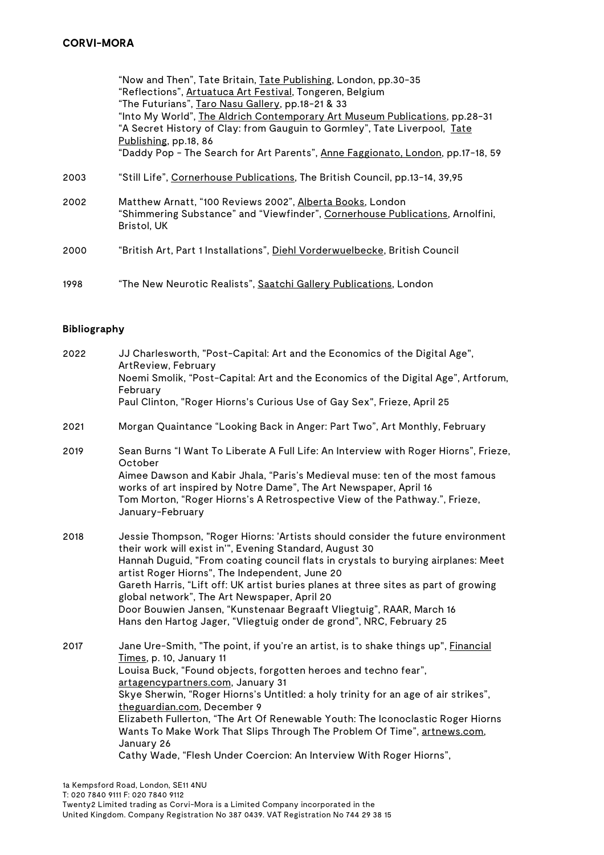|      | "Now and Then", Tate Britain, Tate Publishing, London, pp.30-35<br>"Reflections", Artuatuca Art Festival, Tongeren, Belgium<br>"The Futurians", Taro Nasu Gallery, pp.18-21 & 33<br>"Into My World", The Aldrich Contemporary Art Museum Publications, pp.28-31<br>"A Secret History of Clay: from Gauguin to Gormley", Tate Liverpool, Tate<br>Publishing, pp.18, 86<br>"Daddy Pop - The Search for Art Parents", Anne Faggionato, London, pp.17-18, 59 |
|------|----------------------------------------------------------------------------------------------------------------------------------------------------------------------------------------------------------------------------------------------------------------------------------------------------------------------------------------------------------------------------------------------------------------------------------------------------------|
| 2003 | "Still Life", Cornerhouse Publications, The British Council, pp.13-14, 39,95                                                                                                                                                                                                                                                                                                                                                                             |
| 2002 | Matthew Arnatt, "100 Reviews 2002", Alberta Books, London<br>"Shimmering Substance" and "Viewfinder", Cornerhouse Publications, Arnolfini,<br>Bristol, UK                                                                                                                                                                                                                                                                                                |
| 2000 | "British Art, Part 1 Installations", Diehl Vorderwuelbecke, British Council                                                                                                                                                                                                                                                                                                                                                                              |
| 1998 | "The New Neurotic Realists", Saatchi Gallery Publications, London                                                                                                                                                                                                                                                                                                                                                                                        |

### **Bibliography**

| 2022 | JJ Charlesworth, "Post-Capital: Art and the Economics of the Digital Age",<br>ArtReview, February                                                                                                        |
|------|----------------------------------------------------------------------------------------------------------------------------------------------------------------------------------------------------------|
|      | Noemi Smolik, "Post-Capital: Art and the Economics of the Digital Age", Artforum,<br>February                                                                                                            |
|      | Paul Clinton, "Roger Hiorns's Curious Use of Gay Sex", Frieze, April 25                                                                                                                                  |
| 2021 | Morgan Quaintance "Looking Back in Anger: Part Two", Art Monthly, February                                                                                                                               |
| 2019 | Sean Burns "I Want To Liberate A Full Life: An Interview with Roger Hiorns", Frieze,<br>October                                                                                                          |
|      | Aimee Dawson and Kabir Jhala, "Paris's Medieval muse: ten of the most famous<br>works of art inspired by Notre Dame", The Art Newspaper, April 16                                                        |
|      | Tom Morton, "Roger Hiorns's A Retrospective View of the Pathway.", Frieze,<br>January-February                                                                                                           |
| 2018 | Jessie Thompson, "Roger Hiorns: 'Artists should consider the future environment<br>their work will exist in"', Evening Standard, August 30                                                               |
|      | Hannah Duguid, "From coating council flats in crystals to burying airplanes: Meet<br>artist Roger Hiorns", The Independent, June 20                                                                      |
|      | Gareth Harris, "Lift off: UK artist buries planes at three sites as part of growing<br>global network", The Art Newspaper, April 20                                                                      |
|      | Door Bouwien Jansen, "Kunstenaar Begraaft Vliegtuig", RAAR, March 16<br>Hans den Hartog Jager, "Vliegtuig onder de grond", NRC, February 25                                                              |
| 2017 | Jane Ure-Smith, "The point, if you're an artist, is to shake things up", Financial<br>Times, p. 10, January 11                                                                                           |
|      | Louisa Buck, "Found objects, forgotten heroes and techno fear",                                                                                                                                          |
|      | artagencypartners.com, January 31<br>Skye Sherwin, "Roger Hiorns's Untitled: a holy trinity for an age of air strikes",                                                                                  |
|      | theguardian.com, December 9<br>Elizabeth Fullerton, "The Art Of Renewable Youth: The Iconoclastic Roger Hiorns<br>Wants To Make Work That Slips Through The Problem Of Time", artnews.com,<br>January 26 |
|      | Cathy Wade, "Flesh Under Coercion: An Interview With Roger Hiorns",                                                                                                                                      |
|      |                                                                                                                                                                                                          |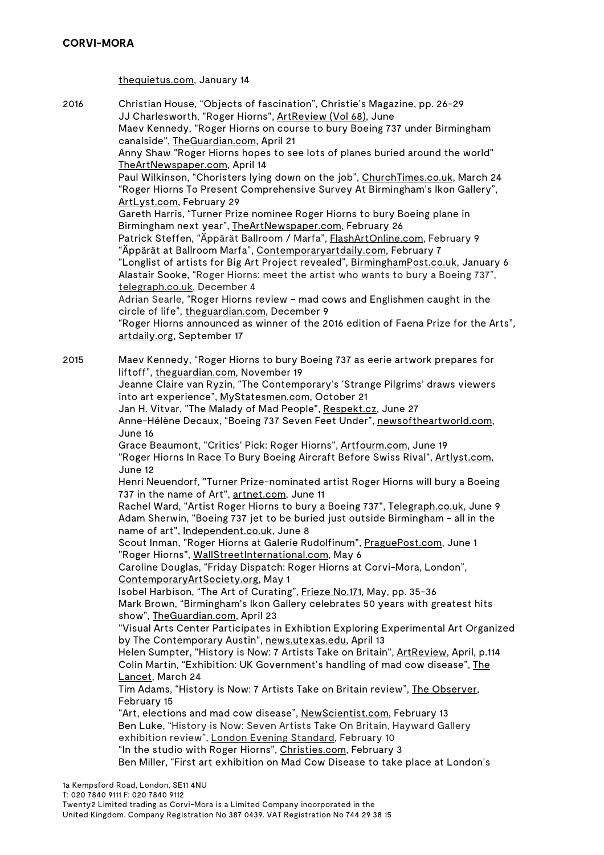thequietus.com, January 14

2016 Christian House, "Objects of fascination", Christie's Magazine, pp. 26-29 JJ Charlesworth, "Roger Hiorns", ArtReview (Vol 68), June

Maev Kennedy, "Roger Hiorns on course to bury Boeing 737 under Birmingham canalside", TheGuardian.com, April 21

Anny Shaw "Roger Hiorns hopes to see lots of planes buried around the world" TheArtNewspaper.com, April 14

Paul Wilkinson, "Choristers lying down on the job", ChurchTimes.co.uk, March 24 "Roger Hiorns To Present Comprehensive Survey At Birmingham's Ikon Gallery", ArtLyst.com, February 29

Gareth Harris, "Turner Prize nominee Roger Hiorns to bury Boeing plane in Birmingham next year", TheArtNewspaper.com, February 26

Patrick Steffen, "Äppärät Ballroom / Marfa", FlashArtOnline.com, February 9 "Äppärät at Ballroom Marfa", Contemporaryartdaily.com, February 7

"Longlist of artists for Big Art Project revealed", BirminghamPost.co.uk, January 6 Alastair Sooke, "Roger Hiorns: meet the artist who wants to bury a Boeing 737", telegraph.co.uk, December 4

Adrian Searle, "Roger Hiorns review – mad cows and Englishmen caught in the circle of life", theguardian.com, December 9

"Roger Hiorns announced as winner of the 2016 edition of Faena Prize for the Arts", artdaily.org, September 17

2015 Maev Kennedy, "Roger Hiorns to bury Boeing 737 as eerie artwork prepares for liftoff", theguardian.com, November 19

Jeanne Claire van Ryzin, "The Contemporary's 'Strange Pilgrims' draws viewers into art experience", MyStatesmen.com, October 21

Jan H. Vitvar, "The Malady of Mad People", Respekt.cz, June 27

Anne-Hélène Decaux, "Boeing 737 Seven Feet Under", newsoftheartworld.com, June 16

Grace Beaumont, "Critics' Pick: Roger Hiorns", Artfourm.com, June 19 "Roger Hiorns In Race To Bury Boeing Aircraft Before Swiss Rival", Artlyst.com, June 12

Henri Neuendorf, "Turner Prize-nominated artist Roger Hiorns will bury a Boeing 737 in the name of Art", artnet.com, June 11

Rachel Ward, "Artist Roger Hiorns to bury a Boeing 737", Telegraph.co.uk, June 9 Adam Sherwin, "Boeing 737 jet to be buried just outside Birmingham - all in the name of art", Independent.co.uk, June 8

Scout Inman, "Roger Hiorns at Galerie Rudolfinum", PraguePost.com, June 1 "Roger Hiorns", WallStreetInternational.com, May 6

Caroline Douglas, "Friday Dispatch: Roger Hiorns at Corvi-Mora, London", ContemporaryArtSociety.org, May 1

Isobel Harbison, "The Art of Curating", Frieze No.171, May, pp. 35-36 Mark Brown, "Birmingham's Ikon Gallery celebrates 50 years with greatest hits show", TheGuardian.com, April 23

"Visual Arts Center Participates in Exhibtion Exploring Experimental Art Organized by The Contemporary Austin", news.utexas.edu, April 13

Helen Sumpter, "History is Now: 7 Artists Take on Britain", ArtReview, April, p.114 Colin Martin, "Exhibition: UK Government's handling of mad cow disease", The Lancet, March 24

Tim Adams, "History is Now: 7 Artists Take on Britain review", The Observer, February 15

"Art, elections and mad cow disease", NewScientist.com, February 13 Ben Luke, "History is Now: Seven Artists Take On Britain, Hayward Gallery exhibition review", London Evening Standard, February 10 "In the studio with Roger Hiorns", Christies.com, February 3 Ben Miller, "First art exhibition on Mad Cow Disease to take place at London's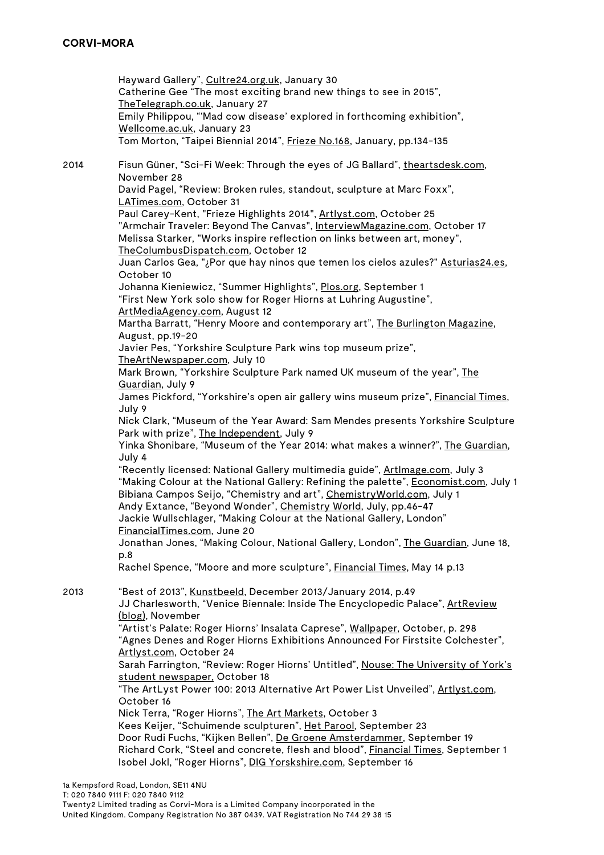Hayward Gallery", Cultre24.org.uk, January 30 Catherine Gee "The most exciting brand new things to see in 2015", TheTelegraph.co.uk, January 27 Emily Philippou, "'Mad cow disease' explored in forthcoming exhibition", Wellcome.ac.uk, January 23 Tom Morton, "Taipei Biennial 2014", Frieze No.168, January, pp.134-135 2014 Fisun Güner, "Sci-Fi Week: Through the eyes of JG Ballard", theartsdesk.com, November 28 David Pagel, "Review: Broken rules, standout, sculpture at Marc Foxx", LATimes.com, October 31 Paul Carey-Kent, "Frieze Highlights 2014", Artlyst.com, October 25 "Armchair Traveler: Beyond The Canvas", InterviewMagazine.com, October 17 Melissa Starker, "Works inspire reflection on links between art, money", TheColumbusDispatch.com, October 12 Juan Carlos Gea, "¿Por que hay ninos que temen los cielos azules?" Asturias24.es, October 10 Johanna Kieniewicz, "Summer Highlights", Plos.org, September 1 "First New York solo show for Roger Hiorns at Luhring Augustine", ArtMediaAgency.com, August 12 Martha Barratt, "Henry Moore and contemporary art", The Burlington Magazine, August, pp.19-20 Javier Pes, "Yorkshire Sculpture Park wins top museum prize", TheArtNewspaper.com, July 10 Mark Brown, "Yorkshire Sculpture Park named UK museum of the year", The Guardian, July 9 James Pickford, "Yorkshire's open air gallery wins museum prize", Financial Times, July 9 Nick Clark, "Museum of the Year Award: Sam Mendes presents Yorkshire Sculpture Park with prize", The Independent, July 9 Yinka Shonibare, "Museum of the Year 2014: what makes a winner?", The Guardian, July 4 "Recently licensed: National Gallery multimedia guide", ArtImage.com, July 3 "Making Colour at the National Gallery: Refining the palette", Economist.com, July 1 Bibiana Campos Seijo, "Chemistry and art", ChemistryWorld.com, July 1 Andy Extance, "Beyond Wonder", Chemistry World, July, pp.46-47 Jackie Wullschlager, "Making Colour at the National Gallery, London" FinancialTimes.com, June 20 Jonathan Jones, "Making Colour, National Gallery, London", The Guardian, June 18, p.8 Rachel Spence, "Moore and more sculpture", Financial Times, May 14 p.13 2013 "Best of 2013", Kunstbeeld, December 2013/January 2014, p.49 JJ Charlesworth, "Venice Biennale: Inside The Encyclopedic Palace", ArtReview (blog), November "Artist's Palate: Roger Hiorns' Insalata Caprese", Wallpaper, October, p. 298 "Agnes Denes and Roger Hiorns Exhibitions Announced For Firstsite Colchester", Artlyst.com, October 24 Sarah Farrington, "Review: Roger Hiorns' Untitled", Nouse: The University of York's student newspaper, October 18 "The ArtLyst Power 100: 2013 Alternative Art Power List Unveiled", Artlyst.com, October 16 Nick Terra, "Roger Hiorns", The Art Markets, October 3 Kees Keijer, "Schuimende sculpturen", Het Parool, September 23 Door Rudi Fuchs, "Kijken Bellen", De Groene Amsterdammer, September 19 Richard Cork, "Steel and concrete, flesh and blood", Financial Times, September 1 Isobel Jokl, "Roger Hiorns", DIG Yorskshire.com, September 16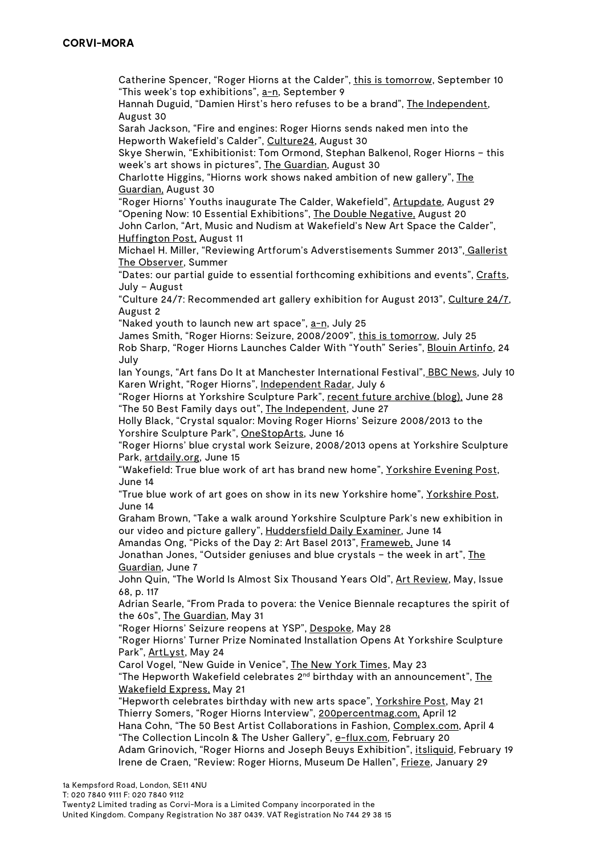Catherine Spencer, "Roger Hiorns at the Calder", this is tomorrow, September 10 "This week's top exhibitions", a-n, September 9

Hannah Duguid, "Damien Hirst's hero refuses to be a brand", The Independent, August 30

Sarah Jackson, "Fire and engines: Roger Hiorns sends naked men into the Hepworth Wakefield's Calder", Culture24, August 30

Skye Sherwin, "Exhibitionist: Tom Ormond, Stephan Balkenol, Roger Hiorns – this week's art shows in pictures", The Guardian, August 30

Charlotte Higgins, "Hiorns work shows naked ambition of new gallery", The Guardian, August 30

"Roger Hiorns' Youths inaugurate The Calder, Wakefield", Artupdate, August 29 "Opening Now: 10 Essential Exhibitions", The Double Negative, August 20

John Carlon, "Art, Music and Nudism at Wakefield's New Art Space the Calder", Huffington Post, August 11

Michael H. Miller, "Reviewing Artforum's Adverstisements Summer 2013", Gallerist The Observer, Summer

"Dates: our partial guide to essential forthcoming exhibitions and events", Crafts, July – August

"Culture 24/7: Recommended art gallery exhibition for August 2013", Culture 24/7, August 2

"Naked youth to launch new art space", a-n, July 25

James Smith, "Roger Hiorns: Seizure, 2008/2009", this is tomorrow, July 25 Rob Sharp, "Roger Hiorns Launches Calder With "Youth" Series", Blouin Artinfo, 24 July

Ian Youngs, "Art fans Do It at Manchester International Festival", BBC News, July 10 Karen Wright, "Roger Hiorns", Independent Radar, July 6

"Roger Hiorns at Yorkshire Sculpture Park", recent future archive (blog), June 28 "The 50 Best Family days out", The Independent, June 27

Holly Black, "Crystal squalor: Moving Roger Hiorns' Seizure 2008/2013 to the Yorshire Sculpture Park", OneStopArts, June 16

"Roger Hiorns' blue crystal work Seizure, 2008/2013 opens at Yorkshire Sculpture Park, artdaily.org, June 15

"Wakefield: True blue work of art has brand new home", Yorkshire Evening Post, June 14

"True blue work of art goes on show in its new Yorkshire home", Yorkshire Post, June 14

Graham Brown, "Take a walk around Yorkshire Sculpture Park's new exhibition in our video and picture gallery", Huddersfield Daily Examiner, June 14

Amandas Ong, "Picks of the Day 2: Art Basel 2013", Frameweb, June 14 Jonathan Jones, "Outsider geniuses and blue crystals – the week in art", The Guardian, June 7

John Quin, "The World Is Almost Six Thousand Years Old", Art Review, May, Issue 68, p. 117

Adrian Searle, "From Prada to povera: the Venice Biennale recaptures the spirit of the 60s", The Guardian, May 31

"Roger Hiorns' Seizure reopens at YSP", Despoke, May 28

"Roger Hiorns' Turner Prize Nominated Installation Opens At Yorkshire Sculpture Park", ArtLyst, May 24

Carol Vogel, "New Guide in Venice", The New York Times, May 23

"The Hepworth Wakefield celebrates 2<sup>nd</sup> birthday with an announcement", The Wakefield Express, May 21

"Hepworth celebrates birthday with new arts space", Yorkshire Post, May 21 Thierry Somers, "Roger Hiorns Interview", 200percentmag.com, April 12 Hana Cohn, "The 50 Best Artist Collaborations in Fashion, Complex.com, April 4 "The Collection Lincoln & The Usher Gallery", e-flux.com, February 20 Adam Grinovich, "Roger Hiorns and Joseph Beuys Exhibition", itsliquid, February 19 Irene de Craen, "Review: Roger Hiorns, Museum De Hallen", Frieze, January 29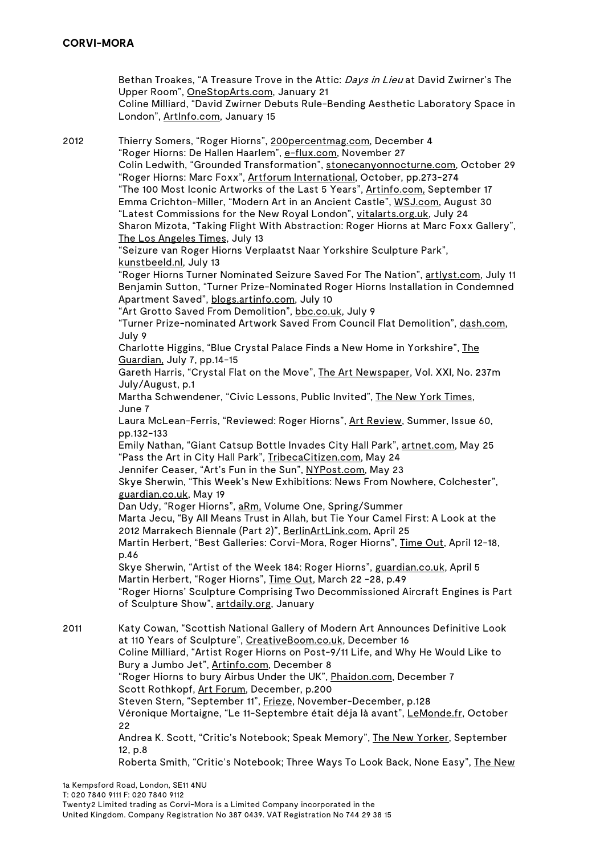Bethan Troakes, "A Treasure Trove in the Attic: Days in Lieu at David Zwirner's The Upper Room", OneStopArts.com, January 21 Coline Milliard, "David Zwirner Debuts Rule-Bending Aesthetic Laboratory Space in London", ArtInfo.com, January 15 2012 Thierry Somers, "Roger Hiorns", 200percentmag.com, December 4 "Roger Hiorns: De Hallen Haarlem", e-flux.com, November 27 Colin Ledwith, "Grounded Transformation", stonecanyonnocturne.com, October 29 "Roger Hiorns: Marc Foxx", Artforum International, October, pp.273-274 "The 100 Most Iconic Artworks of the Last 5 Years", Artinfo.com, September 17 Emma Crichton-Miller, "Modern Art in an Ancient Castle", WSJ.com, August 30 "Latest Commissions for the New Royal London", vitalarts.org.uk, July 24 Sharon Mizota, "Taking Flight With Abstraction: Roger Hiorns at Marc Foxx Gallery", The Los Angeles Times, July 13 "Seizure van Roger Hiorns Verplaatst Naar Yorkshire Sculpture Park", kunstbeeld.nl, July 13 "Roger Hiorns Turner Nominated Seizure Saved For The Nation", artlyst.com, July 11 Benjamin Sutton, "Turner Prize-Nominated Roger Hiorns Installation in Condemned Apartment Saved", blogs.artinfo.com, July 10 "Art Grotto Saved From Demolition", bbc.co.uk, July 9 "Turner Prize-nominated Artwork Saved From Council Flat Demolition", dash.com, July 9 Charlotte Higgins, "Blue Crystal Palace Finds a New Home in Yorkshire", The Guardian, July 7, pp.14-15 Gareth Harris, "Crystal Flat on the Move", The Art Newspaper, Vol. XXI, No. 237m July/August, p.1 Martha Schwendener, "Civic Lessons, Public Invited", The New York Times, June 7 Laura McLean-Ferris, "Reviewed: Roger Hiorns", Art Review, Summer, Issue 60, pp.132-133 Emily Nathan, "Giant Catsup Bottle Invades City Hall Park", artnet.com, May 25 "Pass the Art in City Hall Park", TribecaCitizen.com, May 24 Jennifer Ceaser, "Art's Fun in the Sun", NYPost.com, May 23 Skye Sherwin, "This Week's New Exhibitions: News From Nowhere, Colchester", guardian.co.uk, May 19 Dan Udy, "Roger Hiorns", aRm, Volume One, Spring/Summer Marta Jecu, "By All Means Trust in Allah, but Tie Your Camel First: A Look at the 2012 Marrakech Biennale (Part 2)", BerlinArtLink.com, April 25 Martin Herbert, "Best Galleries: Corvi-Mora, Roger Hiorns", Time Out, April 12-18, p.46 Skye Sherwin, "Artist of the Week 184: Roger Hiorns", guardian.co.uk, April 5 Martin Herbert, "Roger Hiorns", Time Out, March 22 -28, p.49 "Roger Hiorns' Sculpture Comprising Two Decommissioned Aircraft Engines is Part of Sculpture Show", artdaily.org, January 2011 Katy Cowan, "Scottish National Gallery of Modern Art Announces Definitive Look at 110 Years of Sculpture", CreativeBoom.co.uk, December 16 Coline Milliard, "Artist Roger Hiorns on Post-9/11 Life, and Why He Would Like to Bury a Jumbo Jet", Artinfo.com, December 8 "Roger Hiorns to bury Airbus Under the UK", Phaidon.com, December 7 Scott Rothkopf, Art Forum, December, p.200 Steven Stern, "September 11", Frieze, November-December, p.128 Véronique Mortaigne, "Le 11-Septembre était déja là avant", LeMonde.fr, October 22 Andrea K. Scott, "Critic's Notebook; Speak Memory", The New Yorker, September 12, p.8 Roberta Smith, "Critic's Notebook; Three Ways To Look Back, None Easy", The New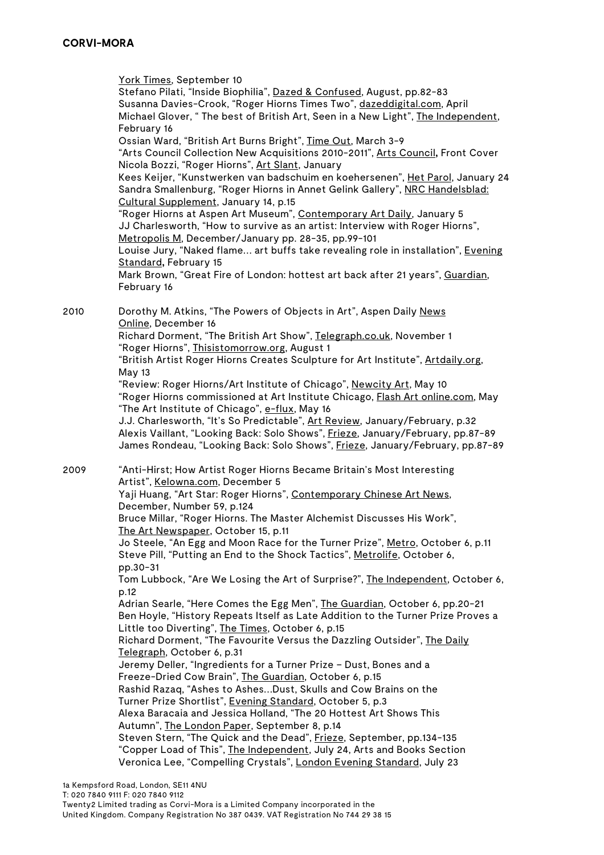York Times, September 10 Stefano Pilati, "Inside Biophilia", Dazed & Confused, August, pp.82-83 Susanna Davies-Crook, "Roger Hiorns Times Two", dazeddigital.com, April Michael Glover, " The best of British Art, Seen in a New Light", The Independent, February 16 Ossian Ward, "British Art Burns Bright", Time Out, March 3-9 "Arts Council Collection New Acquisitions 2010-2011", Arts Council**,** Front Cover Nicola Bozzi, "Roger Hiorns", Art Slant, January Kees Keijer, "Kunstwerken van badschuim en koehersenen", Het Parol, January 24 Sandra Smallenburg, "Roger Hiorns in Annet Gelink Gallery", NRC Handelsblad: Cultural Supplement, January 14, p.15 "Roger Hiorns at Aspen Art Museum", Contemporary Art Daily, January 5 JJ Charlesworth, "How to survive as an artist: Interview with Roger Hiorns", Metropolis M, December/January pp. 28-35, pp.99-101 Louise Jury, "Naked flame... art buffs take revealing role in installation", *Evening* Standard**,** February 15 Mark Brown, "Great Fire of London: hottest art back after 21 years", Guardian, February 16 2010 Dorothy M. Atkins, "The Powers of Objects in Art", Aspen Daily News Online, December 16 Richard Dorment, "The British Art Show", Telegraph.co.uk, November 1 "Roger Hiorns", Thisistomorrow.org, August 1 "British Artist Roger Hiorns Creates Sculpture for Art Institute", Artdaily.org, May 13 "Review: Roger Hiorns/Art Institute of Chicago", Newcity Art, May 10 "Roger Hiorns commissioned at Art Institute Chicago, Flash Art online.com, May "The Art Institute of Chicago", e-flux, May 16 J.J. Charlesworth, "It's So Predictable", <u>Art Review</u>, January/February, p.32 Alexis Vaillant, "Looking Back: Solo Shows", Frieze, January/February, pp.87-89 James Rondeau, "Looking Back: Solo Shows", Frieze, January/February, pp.87-89 2009 "Anti-Hirst; How Artist Roger Hiorns Became Britain's Most Interesting Artist", Kelowna.com, December 5 Yaji Huang, "Art Star: Roger Hiorns", Contemporary Chinese Art News, December, Number 59, p.124 Bruce Millar, "Roger Hiorns. The Master Alchemist Discusses His Work", The Art Newspaper, October 15, p.11 Jo Steele, "An Egg and Moon Race for the Turner Prize", Metro, October 6, p.11 Steve Pill, "Putting an End to the Shock Tactics", Metrolife, October 6, pp.30-31 Tom Lubbock, "Are We Losing the Art of Surprise?", The Independent, October 6, p.12 Adrian Searle, "Here Comes the Egg Men", The Guardian, October 6, pp.20-21 Ben Hoyle, "History Repeats Itself as Late Addition to the Turner Prize Proves a Little too Diverting", The Times, October 6, p.15 Richard Dorment, "The Favourite Versus the Dazzling Outsider", The Daily Telegraph, October 6, p.31 Jeremy Deller, "Ingredients for a Turner Prize – Dust, Bones and a Freeze-Dried Cow Brain", The Guardian, October 6, p.15 Rashid Razaq, "Ashes to Ashes…Dust, Skulls and Cow Brains on the Turner Prize Shortlist", Evening Standard, October 5, p.3 Alexa Baracaia and Jessica Holland, "The 20 Hottest Art Shows This Autumn", The London Paper, September 8, p.14 Steven Stern, "The Quick and the Dead", Frieze, September, pp.134-135 "Copper Load of This", The Independent, July 24, Arts and Books Section Veronica Lee, "Compelling Crystals", London Evening Standard, July 23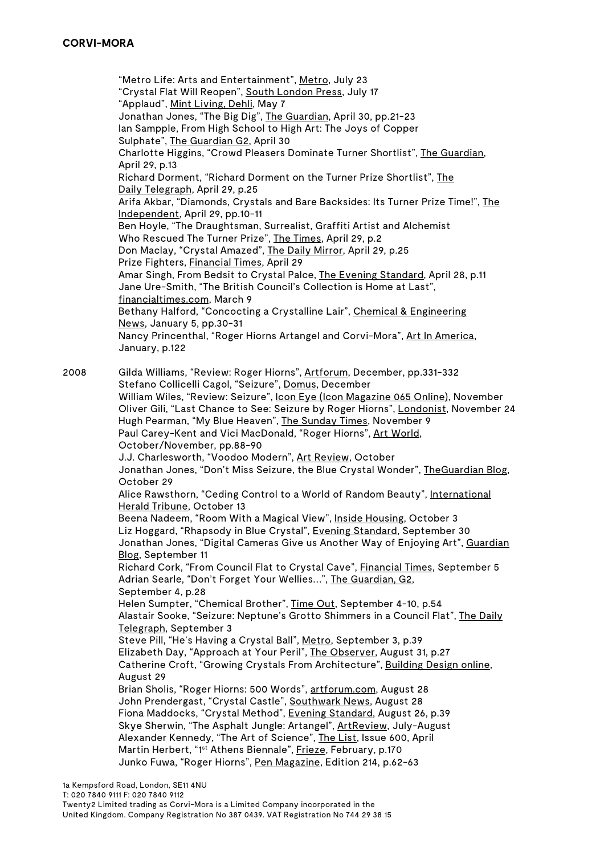"Metro Life: Arts and Entertainment", Metro, July 23 "Crystal Flat Will Reopen", South London Press, July 17 "Applaud", Mint Living, Dehli, May 7 Jonathan Jones, "The Big Dig", The Guardian, April 30, pp.21-23 Ian Sampple, From High School to High Art: The Joys of Copper Sulphate", The Guardian G2, April 30 Charlotte Higgins, "Crowd Pleasers Dominate Turner Shortlist", The Guardian, April 29, p.13 Richard Dorment, "Richard Dorment on the Turner Prize Shortlist", The Daily Telegraph, April 29, p.25 Arifa Akbar, "Diamonds, Crystals and Bare Backsides: Its Turner Prize Time!", The Independent, April 29, pp.10-11 Ben Hoyle, "The Draughtsman, Surrealist, Graffiti Artist and Alchemist Who Rescued The Turner Prize", The Times, April 29, p.2 Don Maclay, "Crystal Amazed", The Daily Mirror, April 29, p.25 Prize Fighters, Financial Times, April 29 Amar Singh, From Bedsit to Crystal Palce, The Evening Standard, April 28, p.11 Jane Ure-Smith, "The British Council's Collection is Home at Last", financialtimes.com, March 9 Bethany Halford, "Concocting a Crystalline Lair", Chemical & Engineering News, January 5, pp.30-31 Nancy Princenthal, "Roger Hiorns Artangel and Corvi-Mora", Art In America, January, p.122 2008 Gilda Williams, "Review: Roger Hiorns", Artforum, December, pp.331-332 Stefano Collicelli Cagol, "Seizure", Domus, December William Wiles, "Review: Seizure", Icon Eye (Icon Magazine 065 Online), November Oliver Gili, "Last Chance to See: Seizure by Roger Hiorns", Londonist, November 24 Hugh Pearman, "My Blue Heaven", The Sunday Times, November 9 Paul Carey-Kent and Vici MacDonald, "Roger Hiorns", Art World, October/November, pp.88-90 J.J. Charlesworth, "Voodoo Modern", Art Review, October Jonathan Jones, "Don't Miss Seizure, the Blue Crystal Wonder", TheGuardian Blog, October 29 Alice Rawsthorn, "Ceding Control to a World of Random Beauty", International Herald Tribune, October 13 Beena Nadeem, "Room With a Magical View", Inside Housing, October 3 Liz Hoggard, "Rhapsody in Blue Crystal", Evening Standard, September 30 Jonathan Jones, "Digital Cameras Give us Another Way of Enjoying Art", Guardian Blog, September 11 Richard Cork, "From Council Flat to Crystal Cave", Financial Times, September 5 Adrian Searle, "Don't Forget Your Wellies…", The Guardian, G2, September 4, p.28 Helen Sumpter, "Chemical Brother", Time Out, September 4-10, p.54 Alastair Sooke, "Seizure: Neptune's Grotto Shimmers in a Council Flat", The Daily Telegraph, September 3 Steve Pill, "He's Having a Crystal Ball", Metro, September 3, p.39 Elizabeth Day, "Approach at Your Peril", The Observer, August 31, p.27 Catherine Croft, "Growing Crystals From Architecture", Building Design online, August 29 Brian Sholis, "Roger Hiorns: 500 Words", artforum.com, August 28 John Prendergast, "Crystal Castle", Southwark News, August 28 Fiona Maddocks, "Crystal Method", Evening Standard, August 26, p.39 Skye Sherwin, "The Asphalt Jungle: Artangel", ArtReview, July-August Alexander Kennedy, "The Art of Science", The List, Issue 600, April Martin Herbert, "1<sup>st</sup> Athens Biennale", Frieze, February, p.170 Junko Fuwa, "Roger Hiorns", Pen Magazine, Edition 214, p.62-63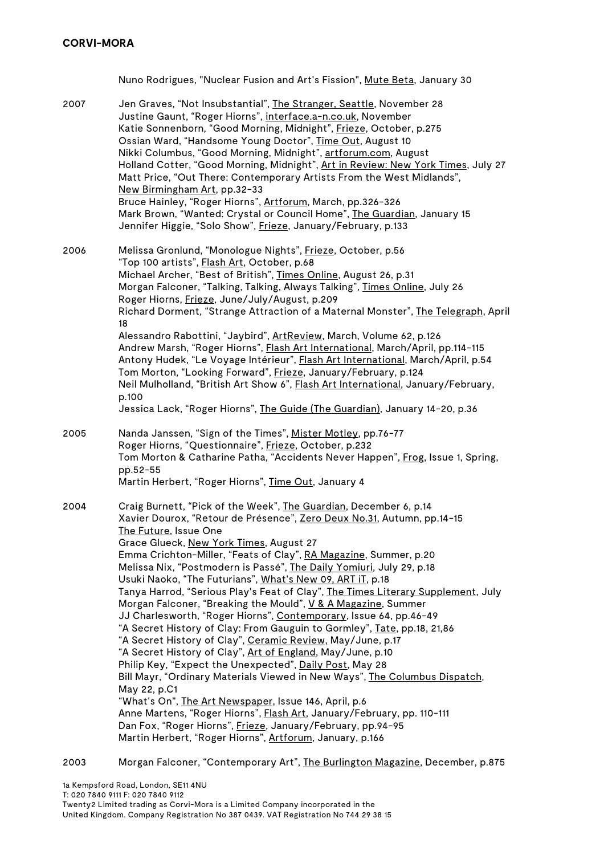|      | Nuno Rodrigues, "Nuclear Fusion and Art's Fission", Mute Beta, January 30                                                                                                                                                                                                                                                                                                                                                                                                                                                                                                                                                                                                                                                                                                                                                                                                                                                                                                                                                                                                                                                                                                                                                                                                        |
|------|----------------------------------------------------------------------------------------------------------------------------------------------------------------------------------------------------------------------------------------------------------------------------------------------------------------------------------------------------------------------------------------------------------------------------------------------------------------------------------------------------------------------------------------------------------------------------------------------------------------------------------------------------------------------------------------------------------------------------------------------------------------------------------------------------------------------------------------------------------------------------------------------------------------------------------------------------------------------------------------------------------------------------------------------------------------------------------------------------------------------------------------------------------------------------------------------------------------------------------------------------------------------------------|
| 2007 | Jen Graves, "Not Insubstantial", The Stranger, Seattle, November 28<br>Justine Gaunt, "Roger Hiorns", interface.a-n.co.uk, November<br>Katie Sonnenborn, "Good Morning, Midnight", Frieze, October, p.275<br>Ossian Ward, "Handsome Young Doctor", Time Out, August 10<br>Nikki Columbus, "Good Morning, Midnight", artforum.com, August<br>Holland Cotter, "Good Morning, Midnight", Art in Review: New York Times, July 27<br>Matt Price, "Out There: Contemporary Artists From the West Midlands",<br>New Birmingham Art, pp.32-33<br>Bruce Hainley, "Roger Hiorns", Artforum, March, pp.326-326<br>Mark Brown, "Wanted: Crystal or Council Home", The Guardian, January 15<br>Jennifer Higgie, "Solo Show", Frieze, January/February, p.133                                                                                                                                                                                                                                                                                                                                                                                                                                                                                                                                  |
| 2006 | Melissa Gronlund, "Monologue Nights", Frieze, October, p.56<br>"Top 100 artists", Flash Art, October, p.68<br>Michael Archer, "Best of British", Times Online, August 26, p.31<br>Morgan Falconer, "Talking, Talking, Always Talking", Times Online, July 26<br>Roger Hiorns, Frieze, June/July/August, p.209<br>Richard Dorment, "Strange Attraction of a Maternal Monster", The Telegraph, April<br>18<br>Alessandro Rabottini, "Jaybird", ArtReview, March, Volume 62, p.126<br>Andrew Marsh, "Roger Hiorns", Flash Art International, March/April, pp.114-115<br>Antony Hudek, "Le Voyage Intérieur", Flash Art International, March/April, p.54<br>Tom Morton, "Looking Forward", Frieze, January/February, p.124<br>Neil Mulholland, "British Art Show 6", Flash Art International, January/February,<br>p.100<br>Jessica Lack, "Roger Hiorns", The Guide (The Guardian), January 14-20, p.36                                                                                                                                                                                                                                                                                                                                                                              |
| 2005 | Nanda Janssen, "Sign of the Times", Mister Motley, pp.76-77<br>Roger Hiorns, "Questionnaire", Frieze, October, p.232<br>Tom Morton & Catharine Patha, "Accidents Never Happen", Frog, Issue 1, Spring,<br>pp.52-55<br>Martin Herbert, "Roger Hiorns", Time Out, January 4                                                                                                                                                                                                                                                                                                                                                                                                                                                                                                                                                                                                                                                                                                                                                                                                                                                                                                                                                                                                        |
| 2004 | Craig Burnett, "Pick of the Week", The Guardian, December 6, p.14<br>Xavier Dourox, "Retour de Présence", Zero Deux No.31, Autumn, pp.14-15<br>The Future, Issue One<br>Grace Glueck, New York Times, August 27<br>Emma Crichton-Miller, "Feats of Clay", RA Magazine, Summer, p.20<br>Melissa Nix, "Postmodern is Passé", The Daily Yomiuri, July 29, p.18<br>Usuki Naoko, "The Futurians", What's New 09, ART iT, p.18<br>Tanya Harrod, "Serious Play's Feat of Clay", The Times Literary Supplement, July<br>Morgan Falconer, "Breaking the Mould", V & A Magazine, Summer<br>JJ Charlesworth, "Roger Hiorns", Contemporary, Issue 64, pp.46-49<br>"A Secret History of Clay: From Gauguin to Gormley", Tate, pp.18, 21,86<br>"A Secret History of Clay", Ceramic Review, May/June, p.17<br>"A Secret History of Clay", Art of England, May/June, p.10<br>Philip Key, "Expect the Unexpected", Daily Post, May 28<br>Bill Mayr, "Ordinary Materials Viewed in New Ways", The Columbus Dispatch,<br>May 22, p.C1<br>"What's On", The Art Newspaper, Issue 146, April, p.6<br>Anne Martens, "Roger Hiorns", Flash Art, January/February, pp. 110-111<br>Dan Fox, "Roger Hiorns", Frieze, January/February, pp.94-95<br>Martin Herbert, "Roger Hiorns", Artforum, January, p.166 |

2003 Morgan Falconer, "Contemporary Art", The Burlington Magazine, December, p.875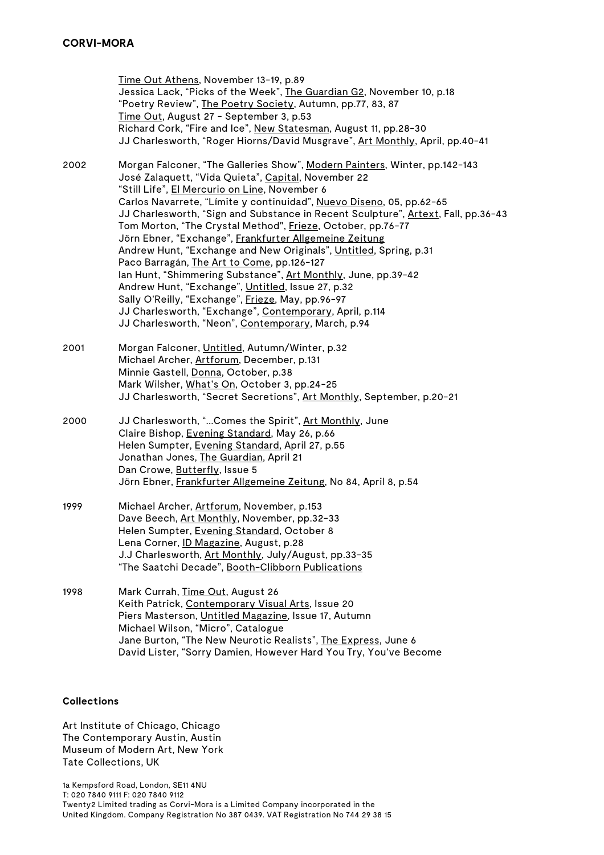Time Out Athens, November 13-19, p.89 Jessica Lack, "Picks of the Week", The Guardian G2, November 10, p.18 "Poetry Review", The Poetry Society, Autumn, pp.77, 83, 87 Time Out, August 27 - September 3, p.53 Richard Cork, "Fire and Ice", New Statesman, August 11, pp.28-30 JJ Charlesworth, "Roger Hiorns/David Musgrave", Art Monthly, April, pp.40-41 2002 Morgan Falconer, "The Galleries Show", Modern Painters, Winter, pp.142-143 José Zalaquett, "Vida Quieta", Capital, November 22 "Still Life", El Mercurio on Line, November 6 Carlos Navarrete, "Límite y continuidad", Nuevo Diseno, 05, pp.62-65 JJ Charlesworth, "Sign and Substance in Recent Sculpture", Artext, Fall, pp.36-43 Tom Morton, "The Crystal Method", Frieze, October, pp.76-77 Jörn Ebner, "Exchange", Frankfurter Allgemeine Zeitung Andrew Hunt, "Exchange and New Originals", Untitled, Spring, p.31 Paco Barragán, The Art to Come, pp.126-127 Ian Hunt, "Shimmering Substance", Art Monthly, June, pp.39-42 Andrew Hunt, "Exchange", Untitled, Issue 27, p.32 Sally O'Reilly, "Exchange", Frieze, May, pp.96-97 JJ Charlesworth, "Exchange", Contemporary, April, p.114 JJ Charlesworth, "Neon", Contemporary, March, p.94 2001 Morgan Falconer, Untitled, Autumn/Winter, p.32 Michael Archer, Artforum, December, p.131 Minnie Gastell, Donna, October, p.38 Mark Wilsher, What's On, October 3, pp.24-25 JJ Charlesworth, "Secret Secretions", Art Monthly, September, p.20-21 2000 JJ Charlesworth, "...Comes the Spirit", Art Monthly, June Claire Bishop, Evening Standard, May 26, p.66 Helen Sumpter, Evening Standard, April 27, p.55 Jonathan Jones, The Guardian, April 21 Dan Crowe, Butterfly, Issue 5 Jörn Ebner, Frankfurter Allgemeine Zeitung, No 84, April 8, p.54 1999 Michael Archer, Artforum, November, p.153 Dave Beech, Art Monthly, November, pp.32-33 Helen Sumpter, Evening Standard, October 8 Lena Corner, ID Magazine, August, p.28 J.J Charlesworth, Art Monthly, July/August, pp.33-35 "The Saatchi Decade", Booth-Clibborn Publications 1998 Mark Currah, Time Out, August 26

Keith Patrick, Contemporary Visual Arts, Issue 20 Piers Masterson, Untitled Magazine, Issue 17, Autumn Michael Wilson, "Micro", Catalogue Jane Burton, "The New Neurotic Realists", The Express, June 6 David Lister, "Sorry Damien, However Hard You Try, You've Become

### **Collections**

Art Institute of Chicago, Chicago The Contemporary Austin, Austin Museum of Modern Art, New York Tate Collections, UK